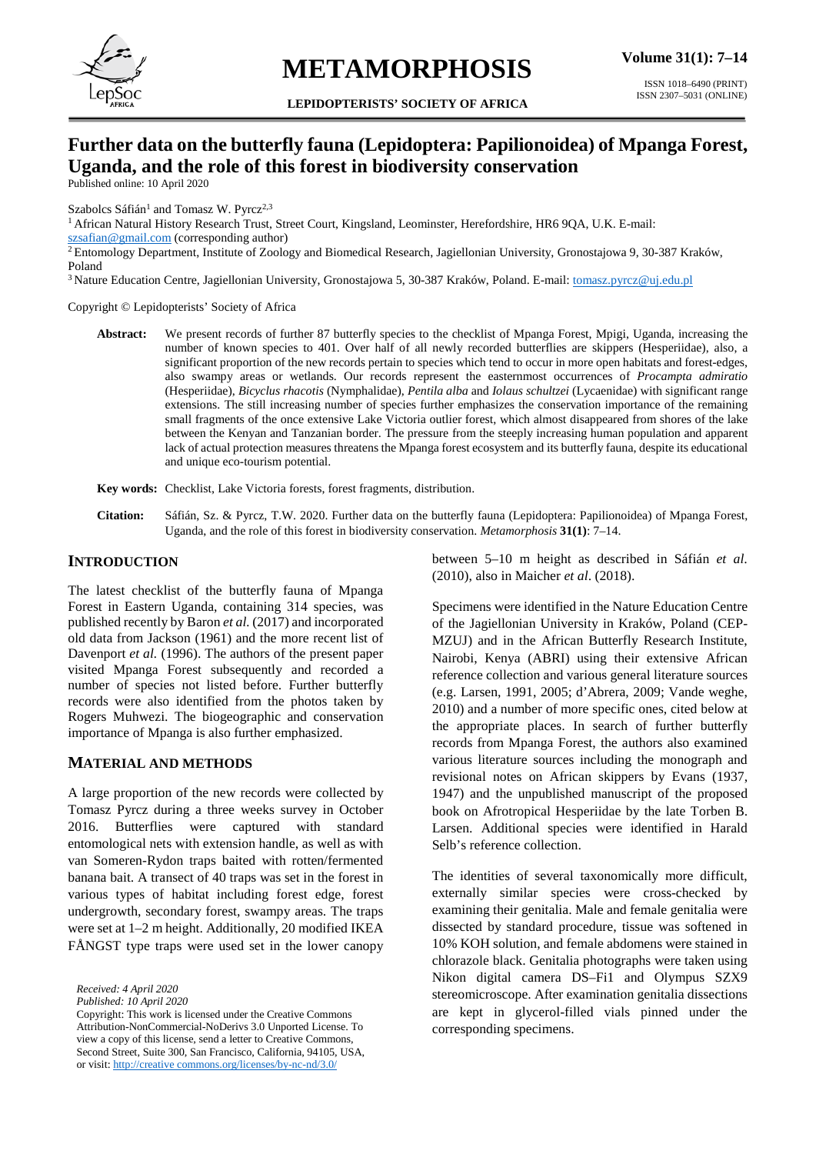

# **METAMORPHOSIS**

**LEPIDOPTERISTS' SOCIETY OF AFRICA**

## **Further data on the butterfly fauna (Lepidoptera: Papilionoidea) of Mpanga Forest, Uganda, and the role of this forest in biodiversity conservation**

Published online: 10 April 2020

Szabolcs Sáfián<sup>1</sup> and Tomasz W. Pyrcz<sup>2,3</sup>

<sup>1</sup> African Natural History Research Trust, Street Court, Kingsland, Leominster, Herefordshire, HR6 9QA, U.K. E-mail:

[szsafian@gmail.com](mailto:szsafian@gmail.com) (corresponding author)

<sup>2</sup> Entomology Department, Institute of Zoology and Biomedical Research, Jagiellonian University, Gronostajowa 9, 30-387 Kraków, Poland

<sup>3</sup> Nature Education Centre, Jagiellonian University, Gronostajowa 5, 30-387 Kraków, Poland. E-mail: [tomasz.pyrcz@uj.edu.pl](mailto:tomasz.pyrcz@uj.edu.pl)

Copyright © Lepidopterists' Society of Africa

- **Abstract:** We present records of further 87 butterfly species to the checklist of Mpanga Forest, Mpigi, Uganda, increasing the number of known species to 401. Over half of all newly recorded butterflies are skippers (Hesperiidae), also, a significant proportion of the new records pertain to species which tend to occur in more open habitats and forest-edges, also swampy areas or wetlands. Our records represent the easternmost occurrences of *Procampta admiratio* (Hesperiidae), *Bicyclus rhacotis* (Nymphalidae), *Pentila alba* and *Iolaus schultzei* (Lycaenidae) with significant range extensions. The still increasing number of species further emphasizes the conservation importance of the remaining small fragments of the once extensive Lake Victoria outlier forest, which almost disappeared from shores of the lake between the Kenyan and Tanzanian border. The pressure from the steeply increasing human population and apparent lack of actual protection measures threatens the Mpanga forest ecosystem and its butterfly fauna, despite its educational and unique eco-tourism potential.
- **Key words:** Checklist, Lake Victoria forests, forest fragments, distribution.
- **Citation:** Sáfián, Sz. & Pyrcz, T.W. 2020. Further data on the butterfly fauna (Lepidoptera: Papilionoidea) of Mpanga Forest, Uganda, and the role of this forest in biodiversity conservation. *Metamorphosis* **31(1)**: 7–14.

## **INTRODUCTION**

The latest checklist of the butterfly fauna of Mpanga Forest in Eastern Uganda, containing 314 species, was published recently by Baron *et al.* (2017) and incorporated old data from Jackson (1961) and the more recent list of Davenport *et al.* (1996). The authors of the present paper visited Mpanga Forest subsequently and recorded a number of species not listed before. Further butterfly records were also identified from the photos taken by Rogers Muhwezi. The biogeographic and conservation importance of Mpanga is also further emphasized.

## **MATERIAL AND METHODS**

A large proportion of the new records were collected by Tomasz Pyrcz during a three weeks survey in October 2016. Butterflies were captured with standard entomological nets with extension handle, as well as with van Someren-Rydon traps baited with rotten/fermented banana bait. A transect of 40 traps was set in the forest in various types of habitat including forest edge, forest undergrowth, secondary forest, swampy areas. The traps were set at 1–2 m height. Additionally, 20 modified IKEA FÅNGST type traps were used set in the lower canopy

*Received: 4 April 2020*

*Published: 10 April 2020*

Copyright: This work is licensed under the Creative Commons Attribution-NonCommercial-NoDerivs 3.0 Unported License. To view a copy of this license, send a letter to Creative Commons, Second Street, Suite 300, San Francisco, California, 94105, USA, or visit: http://creative commons.org/licenses/by-nc-nd/3.0/

between 5–10 m height as described in Sáfián *et al*. (2010), also in Maicher *et al*. (2018).

Specimens were identified in the Nature Education Centre of the Jagiellonian University in Kraków, Poland (CEP-MZUJ) and in the African Butterfly Research Institute, Nairobi, Kenya (ABRI) using their extensive African reference collection and various general literature sources (e.g. Larsen, 1991, 2005; d'Abrera, 2009; Vande weghe, 2010) and a number of more specific ones, cited below at the appropriate places. In search of further butterfly records from Mpanga Forest, the authors also examined various literature sources including the monograph and revisional notes on African skippers by Evans (1937, 1947) and the unpublished manuscript of the proposed book on Afrotropical Hesperiidae by the late Torben B. Larsen. Additional species were identified in Harald Selb's reference collection.

The identities of several taxonomically more difficult, externally similar species were cross-checked by examining their genitalia. Male and female genitalia were dissected by standard procedure, tissue was softened in 10% KOH solution, and female abdomens were stained in chlorazole black. Genitalia photographs were taken using Nikon digital camera DS–Fi1 and Olympus SZX9 stereomicroscope. After examination genitalia dissections are kept in glycerol-filled vials pinned under the corresponding specimens.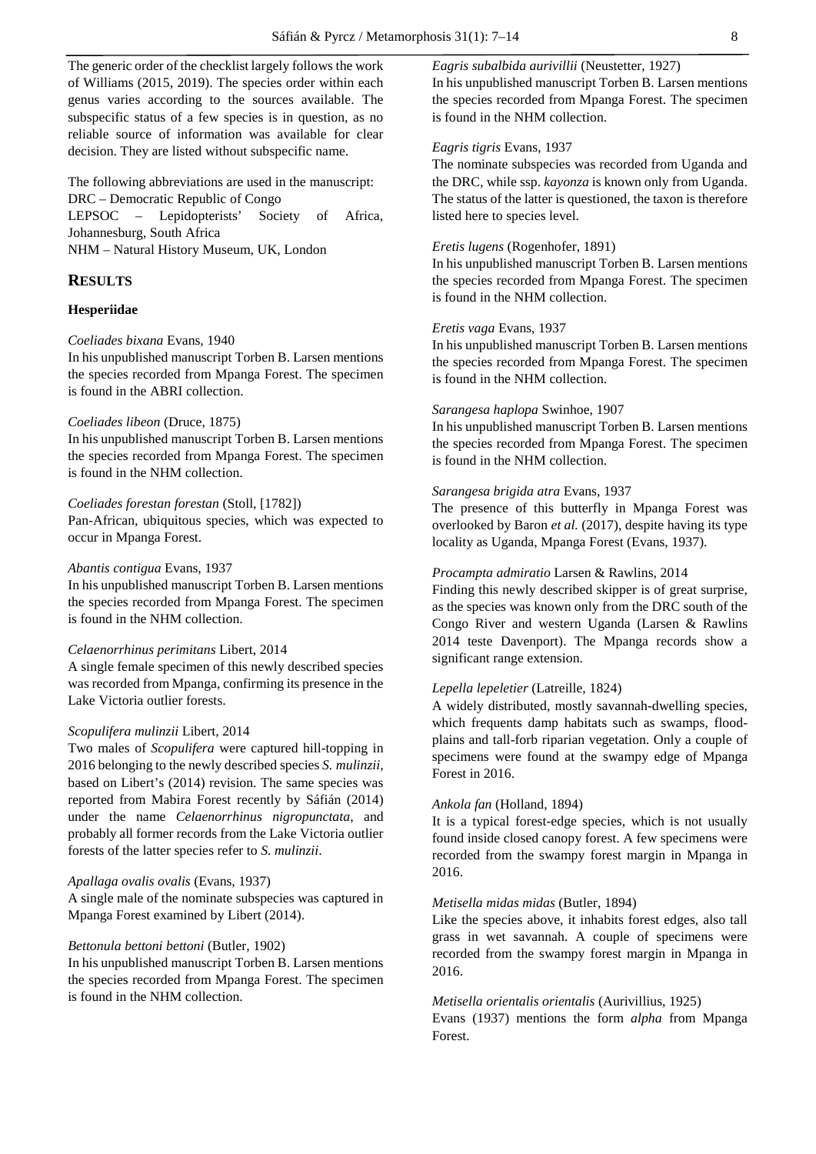The generic order of the checklist largely follows the work of Williams (2015, 2019). The species order within each genus varies according to the sources available. The subspecific status of a few species is in question, as no reliable source of information was available for clear decision. They are listed without subspecific name.

The following abbreviations are used in the manuscript: DRC – Democratic Republic of Congo LEPSOC – Lepidopterists' Society of Africa, Johannesburg, South Africa

NHM – Natural History Museum, UK, London

## **RESULTS**

## **Hesperiidae**

## *Coeliades bixana* Evans, 1940

In his unpublished manuscript Torben B. Larsen mentions the species recorded from Mpanga Forest. The specimen is found in the ABRI collection.

## *Coeliades libeon* (Druce, 1875)

In his unpublished manuscript Torben B. Larsen mentions the species recorded from Mpanga Forest. The specimen is found in the NHM collection.

## *Coeliades forestan forestan* (Stoll, [1782])

Pan-African, ubiquitous species, which was expected to occur in Mpanga Forest.

## *Abantis contigua* Evans, 1937

In his unpublished manuscript Torben B. Larsen mentions the species recorded from Mpanga Forest. The specimen is found in the NHM collection.

## *Celaenorrhinus perimitans* Libert, 2014

A single female specimen of this newly described species was recorded from Mpanga, confirming its presence in the Lake Victoria outlier forests.

## *Scopulifera mulinzii* Libert, 2014

Two males of *Scopulifera* were captured hill-topping in 2016 belonging to the newly described species *S. mulinzii*, based on Libert's (2014) revision. The same species was reported from Mabira Forest recently by Sáfián (2014) under the name *Celaenorrhinus nigropunctata*, and probably all former records from the Lake Victoria outlier forests of the latter species refer to *S. mulinzii*.

#### *Apallaga ovalis ovalis* (Evans, 1937)

A single male of the nominate subspecies was captured in Mpanga Forest examined by Libert (2014).

## *Bettonula bettoni bettoni* (Butler, 1902)

In his unpublished manuscript Torben B. Larsen mentions the species recorded from Mpanga Forest. The specimen is found in the NHM collection.

*Eagris subalbida aurivillii* (Neustetter, 1927)

In his unpublished manuscript Torben B. Larsen mentions the species recorded from Mpanga Forest. The specimen is found in the NHM collection.

## *Eagris tigris* Evans, 1937

The nominate subspecies was recorded from Uganda and the DRC, while ssp. *kayonza* is known only from Uganda. The status of the latter is questioned, the taxon is therefore listed here to species level.

## *Eretis lugens* (Rogenhofer, 1891)

In his unpublished manuscript Torben B. Larsen mentions the species recorded from Mpanga Forest. The specimen is found in the NHM collection.

## *Eretis vaga* Evans, 1937

In his unpublished manuscript Torben B. Larsen mentions the species recorded from Mpanga Forest. The specimen is found in the NHM collection.

## *Sarangesa haplopa* Swinhoe, 1907

In his unpublished manuscript Torben B. Larsen mentions the species recorded from Mpanga Forest. The specimen is found in the NHM collection.

## *Sarangesa brigida atra* Evans, 1937

The presence of this butterfly in Mpanga Forest was overlooked by Baron *et al.* (2017), despite having its type locality as Uganda, Mpanga Forest (Evans, 1937).

## *Procampta admiratio* Larsen & Rawlins, 2014

Finding this newly described skipper is of great surprise, as the species was known only from the DRC south of the Congo River and western Uganda (Larsen & Rawlins 2014 teste Davenport). The Mpanga records show a significant range extension.

#### *Lepella lepeletier* (Latreille, 1824)

A widely distributed, mostly savannah-dwelling species, which frequents damp habitats such as swamps, floodplains and tall-forb riparian vegetation. Only a couple of specimens were found at the swampy edge of Mpanga Forest in 2016.

## *Ankola fan* (Holland, 1894)

It is a typical forest-edge species, which is not usually found inside closed canopy forest. A few specimens were recorded from the swampy forest margin in Mpanga in 2016.

#### *Metisella midas midas* (Butler, 1894)

Like the species above, it inhabits forest edges, also tall grass in wet savannah. A couple of specimens were recorded from the swampy forest margin in Mpanga in 2016.

#### *Metisella orientalis orientalis* (Aurivillius, 1925)

Evans (1937) mentions the form *alpha* from Mpanga Forest.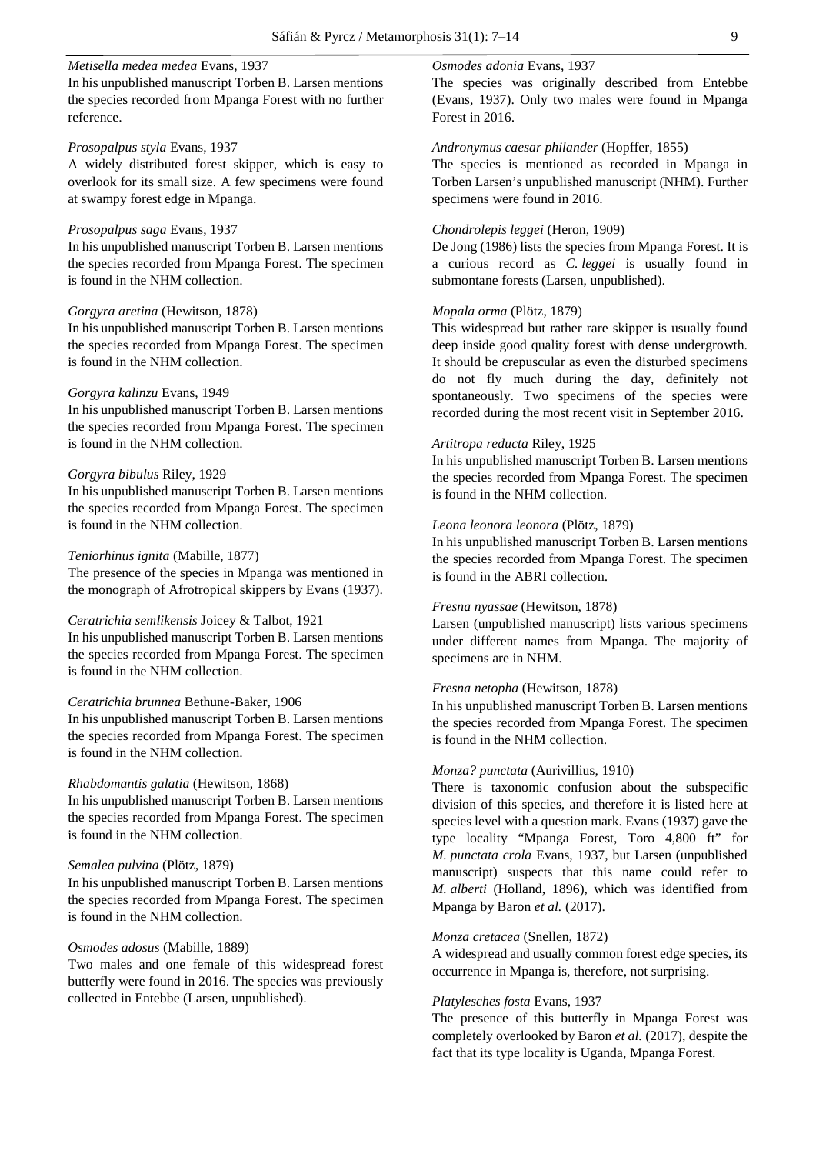## *Metisella medea medea* Evans, 1937

In his unpublished manuscript Torben B. Larsen mentions the species recorded from Mpanga Forest with no further reference.

## *Prosopalpus styla* Evans, 1937

A widely distributed forest skipper, which is easy to overlook for its small size. A few specimens were found at swampy forest edge in Mpanga.

#### *Prosopalpus saga* Evans, 1937

In his unpublished manuscript Torben B. Larsen mentions the species recorded from Mpanga Forest. The specimen is found in the NHM collection.

## *Gorgyra aretina* (Hewitson, 1878)

In his unpublished manuscript Torben B. Larsen mentions the species recorded from Mpanga Forest. The specimen is found in the NHM collection.

## *Gorgyra kalinzu* Evans, 1949

In his unpublished manuscript Torben B. Larsen mentions the species recorded from Mpanga Forest. The specimen is found in the NHM collection.

## *Gorgyra bibulus* Riley, 1929

In his unpublished manuscript Torben B. Larsen mentions the species recorded from Mpanga Forest. The specimen is found in the NHM collection.

## *Teniorhinus ignita* (Mabille, 1877)

The presence of the species in Mpanga was mentioned in the monograph of Afrotropical skippers by Evans (1937).

## *Ceratrichia semlikensis* Joicey & Talbot, 1921

In his unpublished manuscript Torben B. Larsen mentions the species recorded from Mpanga Forest. The specimen is found in the NHM collection.

## *Ceratrichia brunnea* Bethune-Baker, 1906

In his unpublished manuscript Torben B. Larsen mentions the species recorded from Mpanga Forest. The specimen is found in the NHM collection.

#### *Rhabdomantis galatia* (Hewitson, 1868)

In his unpublished manuscript Torben B. Larsen mentions the species recorded from Mpanga Forest. The specimen is found in the NHM collection.

#### *Semalea pulvina* (Plötz, 1879)

In his unpublished manuscript Torben B. Larsen mentions the species recorded from Mpanga Forest. The specimen is found in the NHM collection.

## *Osmodes adosus* (Mabille, 1889)

Two males and one female of this widespread forest butterfly were found in 2016. The species was previously collected in Entebbe (Larsen, unpublished).

## *Osmodes adonia* Evans, 1937

The species was originally described from Entebbe (Evans, 1937). Only two males were found in Mpanga Forest in 2016.

## *Andronymus caesar philander* (Hopffer, 1855)

The species is mentioned as recorded in Mpanga in Torben Larsen's unpublished manuscript (NHM). Further specimens were found in 2016.

## *Chondrolepis leggei* (Heron, 1909)

De Jong (1986) lists the species from Mpanga Forest. It is a curious record as *C. leggei* is usually found in submontane forests (Larsen, unpublished).

## *Mopala orma* (Plötz, 1879)

This widespread but rather rare skipper is usually found deep inside good quality forest with dense undergrowth. It should be crepuscular as even the disturbed specimens do not fly much during the day, definitely not spontaneously. Two specimens of the species were recorded during the most recent visit in September 2016.

## *Artitropa reducta* Riley, 1925

In his unpublished manuscript Torben B. Larsen mentions the species recorded from Mpanga Forest. The specimen is found in the NHM collection.

#### *Leona leonora leonora* (Plötz, 1879)

In his unpublished manuscript Torben B. Larsen mentions the species recorded from Mpanga Forest. The specimen is found in the ABRI collection.

## *Fresna nyassae* (Hewitson, 1878)

Larsen (unpublished manuscript) lists various specimens under different names from Mpanga. The majority of specimens are in NHM.

#### *Fresna netopha* (Hewitson, 1878)

In his unpublished manuscript Torben B. Larsen mentions the species recorded from Mpanga Forest. The specimen is found in the NHM collection.

## *Monza? punctata* (Aurivillius, 1910)

There is taxonomic confusion about the subspecific division of this species, and therefore it is listed here at species level with a question mark. Evans (1937) gave the type locality "Mpanga Forest, Toro 4,800 ft" for *M. punctata crola* Evans, 1937, but Larsen (unpublished manuscript) suspects that this name could refer to *M. alberti* (Holland, 1896), which was identified from Mpanga by Baron *et al.* (2017).

## *Monza cretacea* (Snellen, 1872)

A widespread and usually common forest edge species, its occurrence in Mpanga is, therefore, not surprising.

#### *Platylesches fosta* Evans, 1937

The presence of this butterfly in Mpanga Forest was completely overlooked by Baron *et al.* (2017), despite the fact that its type locality is Uganda, Mpanga Forest.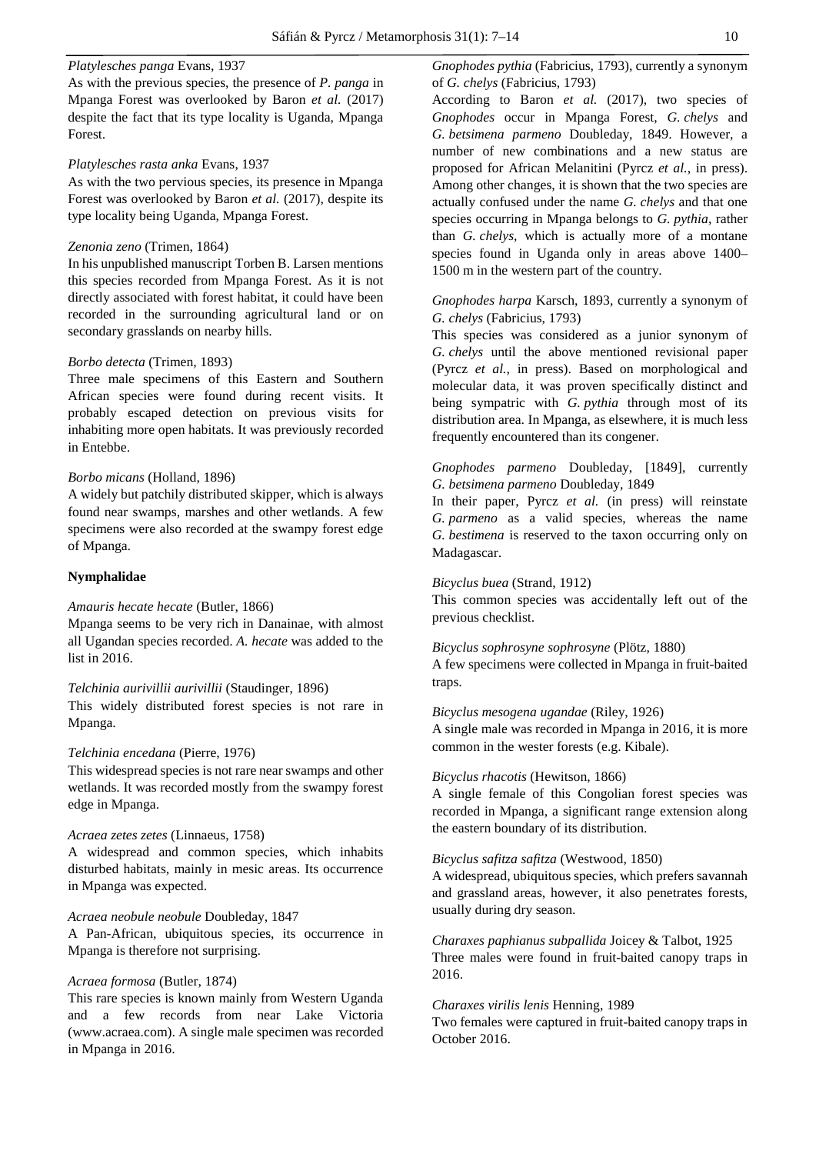## *Platylesches panga* Evans, 1937

As with the previous species, the presence of *P. panga* in Mpanga Forest was overlooked by Baron *et al.* (2017) despite the fact that its type locality is Uganda, Mpanga Forest.

## *Platylesches rasta anka* Evans, 1937

As with the two pervious species, its presence in Mpanga Forest was overlooked by Baron *et al.* (2017), despite its type locality being Uganda, Mpanga Forest.

## *Zenonia zeno* (Trimen, 1864)

In his unpublished manuscript Torben B. Larsen mentions this species recorded from Mpanga Forest. As it is not directly associated with forest habitat, it could have been recorded in the surrounding agricultural land or on secondary grasslands on nearby hills.

## *Borbo detecta* (Trimen, 1893)

Three male specimens of this Eastern and Southern African species were found during recent visits. It probably escaped detection on previous visits for inhabiting more open habitats. It was previously recorded in Entebbe.

## *Borbo micans* (Holland, 1896)

A widely but patchily distributed skipper, which is always found near swamps, marshes and other wetlands. A few specimens were also recorded at the swampy forest edge of Mpanga.

## **Nymphalidae**

#### *Amauris hecate hecate* (Butler, 1866)

Mpanga seems to be very rich in Danainae, with almost all Ugandan species recorded. *A. hecate* was added to the list in 2016.

#### *Telchinia aurivillii aurivillii* (Staudinger, 1896)

This widely distributed forest species is not rare in Mpanga.

#### *Telchinia encedana* (Pierre, 1976)

This widespread species is not rare near swamps and other wetlands. It was recorded mostly from the swampy forest edge in Mpanga.

## *Acraea zetes zetes* (Linnaeus, 1758)

A widespread and common species, which inhabits disturbed habitats, mainly in mesic areas. Its occurrence in Mpanga was expected.

## *Acraea neobule neobule* Doubleday, 1847

A Pan-African, ubiquitous species, its occurrence in Mpanga is therefore not surprising.

## *Acraea formosa* (Butler, 1874)

This rare species is known mainly from Western Uganda and a few records from near Lake Victoria (www.acraea.com). A single male specimen was recorded in Mpanga in 2016.

*Gnophodes pythia* (Fabricius, 1793), currently a synonym of *G. chelys* (Fabricius, 1793)

According to Baron *et al.* (2017), two species of *Gnophodes* occur in Mpanga Forest, *G. chelys* and *G. betsimena parmeno* Doubleday, 1849. However, a number of new combinations and a new status are proposed for African Melanitini (Pyrcz *et al.*, in press). Among other changes, it is shown that the two species are actually confused under the name *G. chelys* and that one species occurring in Mpanga belongs to *G. pythia*, rather than *G. chelys*, which is actually more of a montane species found in Uganda only in areas above 1400– 1500 m in the western part of the country.

## *Gnophodes harpa* Karsch, 1893, currently a synonym of *G. chelys* (Fabricius, 1793)

This species was considered as a junior synonym of *G. chelys* until the above mentioned revisional paper (Pyrcz *et al.*, in press). Based on morphological and molecular data, it was proven specifically distinct and being sympatric with *G. pythia* through most of its distribution area. In Mpanga, as elsewhere, it is much less frequently encountered than its congener.

## *Gnophodes parmeno* Doubleday, [1849], currently *G. betsimena parmeno* Doubleday, 1849

In their paper, Pyrcz *et al.* (in press) will reinstate *G. parmeno* as a valid species, whereas the name *G. bestimena* is reserved to the taxon occurring only on Madagascar.

## *Bicyclus buea* (Strand, 1912)

This common species was accidentally left out of the previous checklist.

*Bicyclus sophrosyne sophrosyne* (Plötz, 1880) A few specimens were collected in Mpanga in fruit-baited traps.

## *Bicyclus mesogena ugandae* (Riley, 1926)

A single male was recorded in Mpanga in 2016, it is more common in the wester forests (e.g. Kibale).

## *Bicyclus rhacotis* (Hewitson, 1866)

A single female of this Congolian forest species was recorded in Mpanga, a significant range extension along the eastern boundary of its distribution.

## *Bicyclus safitza safitza* (Westwood, 1850)

A widespread, ubiquitous species, which prefers savannah and grassland areas, however, it also penetrates forests, usually during dry season.

*Charaxes paphianus subpallida* Joicey & Talbot, 1925 Three males were found in fruit-baited canopy traps in 2016.

#### *Charaxes virilis lenis* Henning, 1989

Two females were captured in fruit-baited canopy traps in October 2016.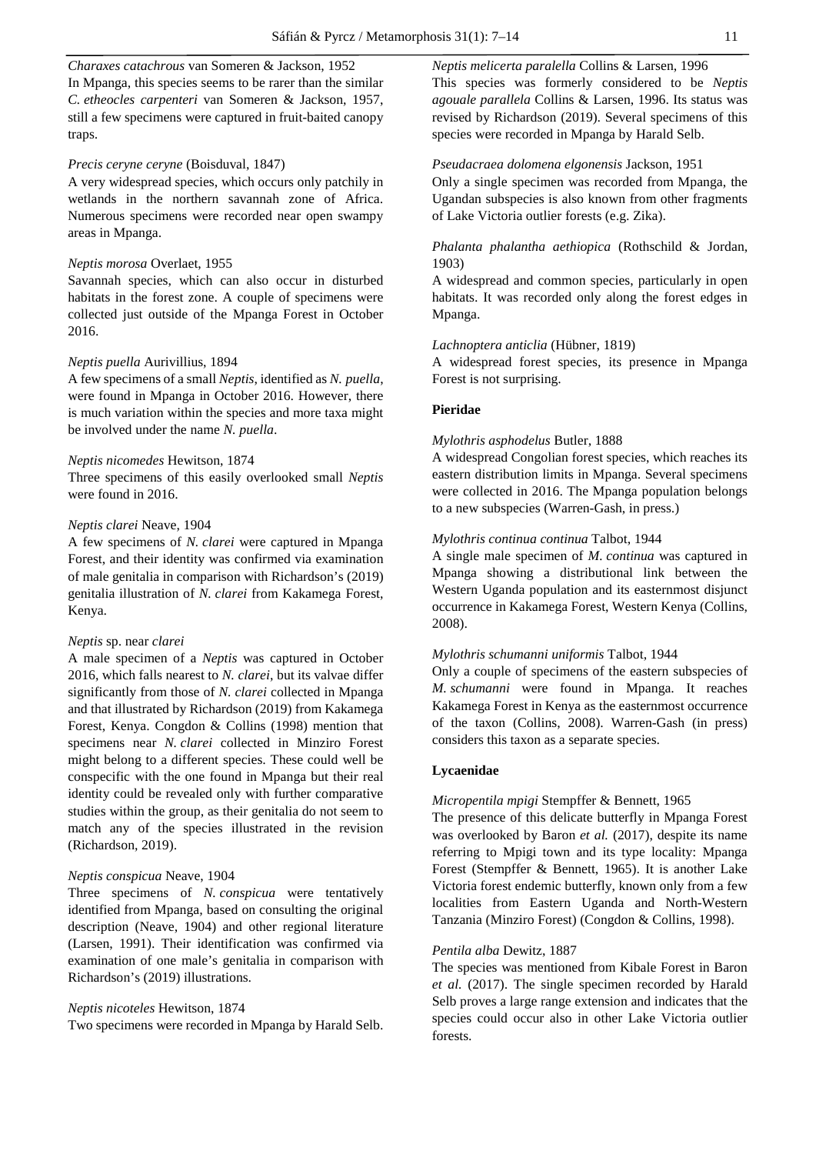*Charaxes catachrous* van Someren & Jackson, 1952 In Mpanga, this species seems to be rarer than the similar *C. etheocles carpenteri* van Someren & Jackson, 1957, still a few specimens were captured in fruit-baited canopy traps.

## *Precis ceryne ceryne* (Boisduval, 1847)

A very widespread species, which occurs only patchily in wetlands in the northern savannah zone of Africa. Numerous specimens were recorded near open swampy areas in Mpanga.

## *Neptis morosa* Overlaet, 1955

Savannah species, which can also occur in disturbed habitats in the forest zone. A couple of specimens were collected just outside of the Mpanga Forest in October 2016.

#### *Neptis puella* Aurivillius, 1894

A few specimens of a small *Neptis*, identified as *N. puella*, were found in Mpanga in October 2016. However, there is much variation within the species and more taxa might be involved under the name *N. puella*.

## *Neptis nicomedes* Hewitson, 1874

Three specimens of this easily overlooked small *Neptis* were found in 2016.

#### *Neptis clarei* Neave, 1904

A few specimens of *N. clarei* were captured in Mpanga Forest, and their identity was confirmed via examination of male genitalia in comparison with Richardson's (2019) genitalia illustration of *N. clarei* from Kakamega Forest, Kenya.

#### *Neptis* sp. near *clarei*

A male specimen of a *Neptis* was captured in October 2016, which falls nearest to *N. clarei*, but its valvae differ significantly from those of *N. clarei* collected in Mpanga and that illustrated by Richardson (2019) from Kakamega Forest, Kenya. Congdon & Collins (1998) mention that specimens near *N. clarei* collected in Minziro Forest might belong to a different species. These could well be conspecific with the one found in Mpanga but their real identity could be revealed only with further comparative studies within the group, as their genitalia do not seem to match any of the species illustrated in the revision (Richardson, 2019).

## *Neptis conspicua* Neave, 1904

Three specimens of *N. conspicua* were tentatively identified from Mpanga*,* based on consulting the original description (Neave, 1904) and other regional literature (Larsen, 1991). Their identification was confirmed via examination of one male's genitalia in comparison with Richardson's (2019) illustrations.

#### *Neptis nicoteles* Hewitson, 1874

Two specimens were recorded in Mpanga by Harald Selb.

*Neptis melicerta paralella* Collins & Larsen, 1996 This species was formerly considered to be *Neptis agouale parallela* Collins & Larsen, 1996. Its status was revised by Richardson (2019). Several specimens of this species were recorded in Mpanga by Harald Selb.

#### *Pseudacraea dolomena elgonensis* Jackson, 1951

Only a single specimen was recorded from Mpanga, the Ugandan subspecies is also known from other fragments of Lake Victoria outlier forests (e.g. Zika).

## *Phalanta phalantha aethiopica* (Rothschild & Jordan, 1903)

A widespread and common species, particularly in open habitats. It was recorded only along the forest edges in Mpanga.

#### *Lachnoptera anticlia* (Hübner, 1819)

A widespread forest species, its presence in Mpanga Forest is not surprising.

## **Pieridae**

## *Mylothris asphodelus* Butler, 1888

A widespread Congolian forest species, which reaches its eastern distribution limits in Mpanga. Several specimens were collected in 2016. The Mpanga population belongs to a new subspecies (Warren-Gash, in press.)

## *Mylothris continua continua* Talbot, 1944

A single male specimen of *M. continua* was captured in Mpanga showing a distributional link between the Western Uganda population and its easternmost disjunct occurrence in Kakamega Forest, Western Kenya (Collins, 2008).

## *Mylothris schumanni uniformis* Talbot, 1944

Only a couple of specimens of the eastern subspecies of *M. schumanni* were found in Mpanga. It reaches Kakamega Forest in Kenya as the easternmost occurrence of the taxon (Collins, 2008). Warren-Gash (in press) considers this taxon as a separate species.

#### **Lycaenidae**

## *Micropentila mpigi* Stempffer & Bennett, 1965

The presence of this delicate butterfly in Mpanga Forest was overlooked by Baron *et al.* (2017), despite its name referring to Mpigi town and its type locality: Mpanga Forest (Stempffer & Bennett, 1965). It is another Lake Victoria forest endemic butterfly, known only from a few localities from Eastern Uganda and North-Western Tanzania (Minziro Forest) (Congdon & Collins, 1998).

#### *Pentila alba* Dewitz, 1887

The species was mentioned from Kibale Forest in Baron *et al.* (2017). The single specimen recorded by Harald Selb proves a large range extension and indicates that the species could occur also in other Lake Victoria outlier forests.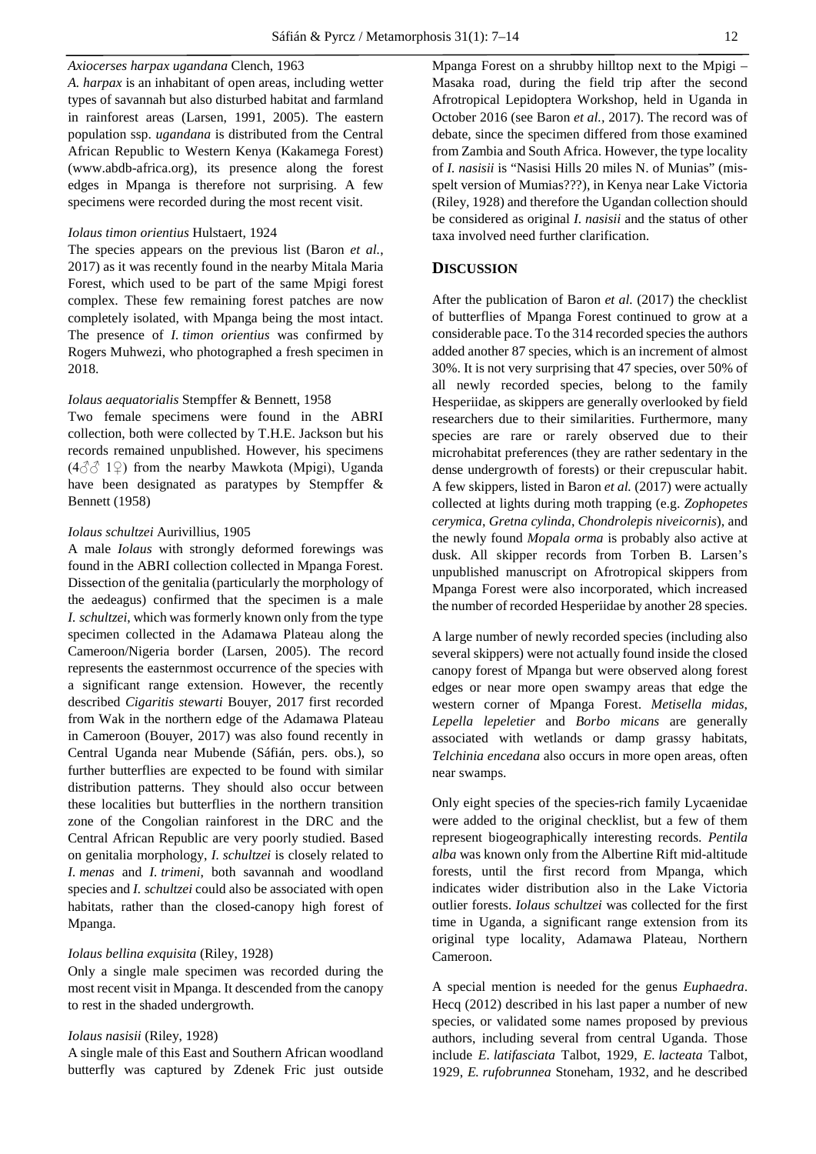## *Axiocerses harpax ugandana* Clench, 1963

*A. harpax* is an inhabitant of open areas, including wetter types of savannah but also disturbed habitat and farmland in rainforest areas (Larsen, 1991, 2005). The eastern population ssp. *ugandana* is distributed from the Central African Republic to Western Kenya (Kakamega Forest) (www.abdb-africa.org), its presence along the forest edges in Mpanga is therefore not surprising. A few specimens were recorded during the most recent visit.

## *Iolaus timon orientius* Hulstaert, 1924

The species appears on the previous list (Baron *et al.*, 2017) as it was recently found in the nearby Mitala Maria Forest, which used to be part of the same Mpigi forest complex. These few remaining forest patches are now completely isolated, with Mpanga being the most intact. The presence of *I. timon orientius* was confirmed by Rogers Muhwezi, who photographed a fresh specimen in 2018.

## *Iolaus aequatorialis* Stempffer & Bennett, 1958

Two female specimens were found in the ABRI collection, both were collected by T.H.E. Jackson but his records remained unpublished. However, his specimens  $(4\text{ and } 4\text{)}$  from the nearby Mawkota (Mpigi), Uganda have been designated as paratypes by Stempffer & Bennett (1958)

## *Iolaus schultzei* Aurivillius, 1905

A male *Iolaus* with strongly deformed forewings was found in the ABRI collection collected in Mpanga Forest. Dissection of the genitalia (particularly the morphology of the aedeagus) confirmed that the specimen is a male *I. schultzei*, which was formerly known only from the type specimen collected in the Adamawa Plateau along the Cameroon/Nigeria border (Larsen, 2005). The record represents the easternmost occurrence of the species with a significant range extension. However, the recently described *Cigaritis stewarti* Bouyer, 2017 first recorded from Wak in the northern edge of the Adamawa Plateau in Cameroon (Bouyer, 2017) was also found recently in Central Uganda near Mubende (Sáfián, pers. obs.), so further butterflies are expected to be found with similar distribution patterns. They should also occur between these localities but butterflies in the northern transition zone of the Congolian rainforest in the DRC and the Central African Republic are very poorly studied. Based on genitalia morphology, *I. schultzei* is closely related to *I. menas* and *I. trimeni*, both savannah and woodland species and *I. schultzei* could also be associated with open habitats, rather than the closed-canopy high forest of Mpanga.

## *Iolaus bellina exquisita* (Riley, 1928)

Only a single male specimen was recorded during the most recent visit in Mpanga. It descended from the canopy to rest in the shaded undergrowth.

## *Iolaus nasisii* (Riley, 1928)

A single male of this East and Southern African woodland butterfly was captured by Zdenek Fric just outside

Mpanga Forest on a shrubby hilltop next to the Mpigi – Masaka road, during the field trip after the second Afrotropical Lepidoptera Workshop, held in Uganda in October 2016 (see Baron *et al.,* 2017). The record was of debate, since the specimen differed from those examined from Zambia and South Africa. However, the type locality of *I. nasisii* is "Nasisi Hills 20 miles N. of Munias" (misspelt version of Mumias???), in Kenya near Lake Victoria (Riley, 1928) and therefore the Ugandan collection should be considered as original *I. nasisii* and the status of other taxa involved need further clarification.

## **DISCUSSION**

After the publication of Baron *et al.* (2017) the checklist of butterflies of Mpanga Forest continued to grow at a considerable pace. To the 314 recorded species the authors added another 87 species, which is an increment of almost 30%. It is not very surprising that 47 species, over 50% of all newly recorded species, belong to the family Hesperiidae, as skippers are generally overlooked by field researchers due to their similarities. Furthermore, many species are rare or rarely observed due to their microhabitat preferences (they are rather sedentary in the dense undergrowth of forests) or their crepuscular habit. A few skippers, listed in Baron *et al.* (2017) were actually collected at lights during moth trapping (e.g. *Zophopetes cerymica*, *Gretna cylinda*, *Chondrolepis niveicornis*), and the newly found *Mopala orma* is probably also active at dusk. All skipper records from Torben B. Larsen's unpublished manuscript on Afrotropical skippers from Mpanga Forest were also incorporated, which increased the number of recorded Hesperiidae by another 28 species.

A large number of newly recorded species (including also several skippers) were not actually found inside the closed canopy forest of Mpanga but were observed along forest edges or near more open swampy areas that edge the western corner of Mpanga Forest. *Metisella midas*, *Lepella lepeletier* and *Borbo micans* are generally associated with wetlands or damp grassy habitats, *Telchinia encedana* also occurs in more open areas, often near swamps.

Only eight species of the species-rich family Lycaenidae were added to the original checklist, but a few of them represent biogeographically interesting records. *Pentila alba* was known only from the Albertine Rift mid-altitude forests, until the first record from Mpanga, which indicates wider distribution also in the Lake Victoria outlier forests. *Iolaus schultzei* was collected for the first time in Uganda, a significant range extension from its original type locality, Adamawa Plateau, Northern Cameroon.

A special mention is needed for the genus *Euphaedra*. Hecq (2012) described in his last paper a number of new species, or validated some names proposed by previous authors, including several from central Uganda. Those include *E. latifasciata* Talbot, 1929, *E. lacteata* Talbot, 1929, *E. rufobrunnea* Stoneham, 1932, and he described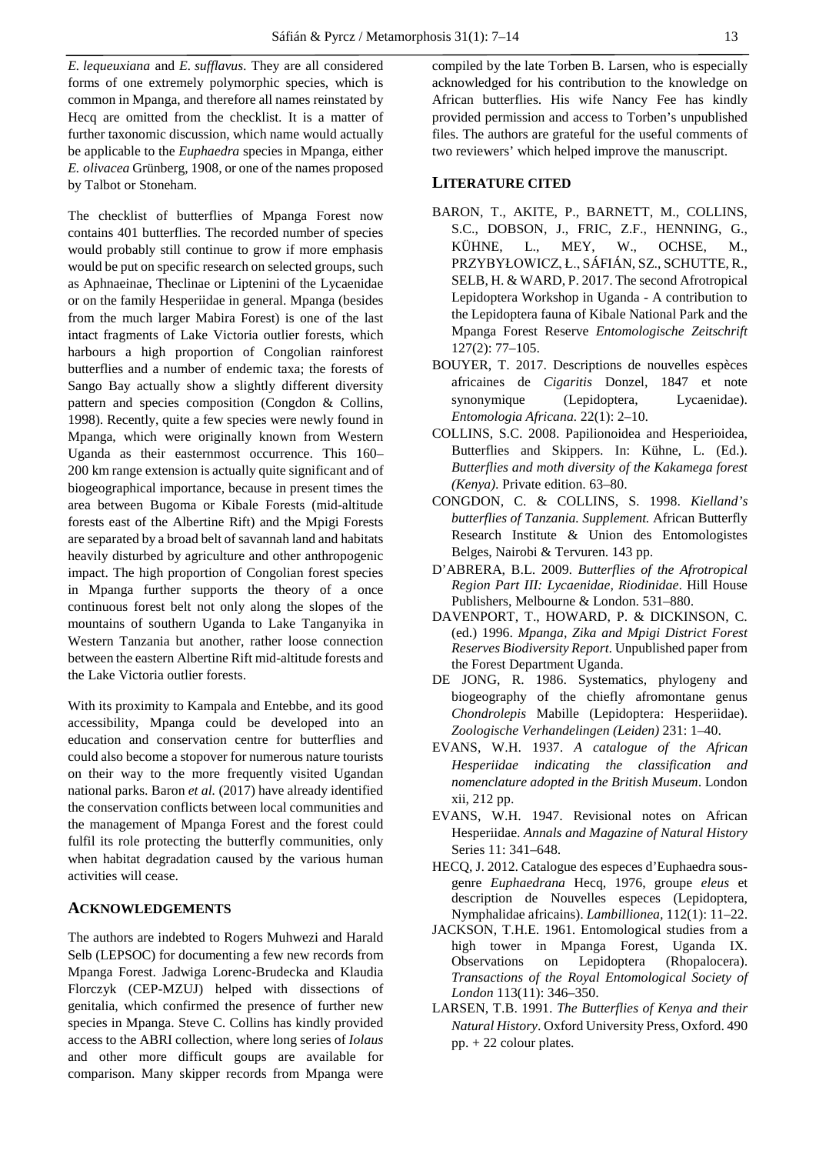*E. lequeuxiana* and *E. sufflavus*. They are all considered forms of one extremely polymorphic species, which is common in Mpanga, and therefore all names reinstated by Hecq are omitted from the checklist. It is a matter of further taxonomic discussion, which name would actually be applicable to the *Euphaedra* species in Mpanga, either *E. olivacea* Grünberg, 1908*,* or one of the names proposed by Talbot or Stoneham.

The checklist of butterflies of Mpanga Forest now contains 401 butterflies. The recorded number of species would probably still continue to grow if more emphasis would be put on specific research on selected groups, such as Aphnaeinae, Theclinae or Liptenini of the Lycaenidae or on the family Hesperiidae in general. Mpanga (besides from the much larger Mabira Forest) is one of the last intact fragments of Lake Victoria outlier forests, which harbours a high proportion of Congolian rainforest butterflies and a number of endemic taxa; the forests of Sango Bay actually show a slightly different diversity pattern and species composition (Congdon & Collins, 1998). Recently, quite a few species were newly found in Mpanga, which were originally known from Western Uganda as their easternmost occurrence. This 160– 200 km range extension is actually quite significant and of biogeographical importance, because in present times the area between Bugoma or Kibale Forests (mid-altitude forests east of the Albertine Rift) and the Mpigi Forests are separated by a broad belt of savannah land and habitats heavily disturbed by agriculture and other anthropogenic impact. The high proportion of Congolian forest species in Mpanga further supports the theory of a once continuous forest belt not only along the slopes of the mountains of southern Uganda to Lake Tanganyika in Western Tanzania but another, rather loose connection between the eastern Albertine Rift mid-altitude forests and the Lake Victoria outlier forests.

With its proximity to Kampala and Entebbe, and its good accessibility, Mpanga could be developed into an education and conservation centre for butterflies and could also become a stopover for numerous nature tourists on their way to the more frequently visited Ugandan national parks. Baron *et al.* (2017) have already identified the conservation conflicts between local communities and the management of Mpanga Forest and the forest could fulfil its role protecting the butterfly communities, only when habitat degradation caused by the various human activities will cease.

## **ACKNOWLEDGEMENTS**

The authors are indebted to Rogers Muhwezi and Harald Selb (LEPSOC) for documenting a few new records from Mpanga Forest. Jadwiga Lorenc-Brudecka and Klaudia Florczyk (CEP-MZUJ) helped with dissections of genitalia, which confirmed the presence of further new species in Mpanga. Steve C. Collins has kindly provided access to the ABRI collection, where long series of *Iolaus* and other more difficult goups are available for comparison. Many skipper records from Mpanga were

compiled by the late Torben B. Larsen, who is especially acknowledged for his contribution to the knowledge on African butterflies. His wife Nancy Fee has kindly provided permission and access to Torben's unpublished files. The authors are grateful for the useful comments of two reviewers' which helped improve the manuscript.

## **LITERATURE CITED**

- BARON, T., AKITE, P., BARNETT, M., COLLINS, S.C., DOBSON, J., FRIC, Z.F., HENNING, G., KÜHNE, L., MEY, W., OCHSE, M., PRZYBYŁOWICZ, Ł., SÁFIÁN, SZ., SCHUTTE, R., SELB, H. & WARD, P. 2017. The second Afrotropical Lepidoptera Workshop in Uganda - A contribution to the Lepidoptera fauna of Kibale National Park and the Mpanga Forest Reserve *Entomologische Zeitschrift* 127(2): 77–105.
- BOUYER, T. 2017. Descriptions de nouvelles espèces africaines de *Cigaritis* Donzel, 1847 et note synonymique (Lepidoptera, Lycaenidae). *Entomologia Africana.* 22(1): 2–10.
- COLLINS, S.C. 2008. Papilionoidea and Hesperioidea, Butterflies and Skippers. In: Kühne, L. (Ed.). *Butterflies and moth diversity of the Kakamega forest (Kenya)*. Private edition. 63–80.
- CONGDON, C. & COLLINS, S. 1998. *Kielland's butterflies of Tanzania. Supplement.* African Butterfly Research Institute & Union des Entomologistes Belges, Nairobi & Tervuren. 143 pp.
- D'ABRERA, B.L. 2009. *Butterflies of the Afrotropical Region Part III: Lycaenidae, Riodinidae*. Hill House Publishers, Melbourne & London. 531–880.
- DAVENPORT, T., HOWARD, P. & DICKINSON, C. (ed.) 1996. *Mpanga, Zika and Mpigi District Forest Reserves Biodiversity Report*. Unpublished paper from the Forest Department Uganda.
- DE JONG, R. 1986. Systematics, phylogeny and biogeography of the chiefly afromontane genus *Chondrolepis* Mabille (Lepidoptera: Hesperiidae). *Zoologische Verhandelingen (Leiden)* 231: 1–40.
- EVANS, W.H. 1937. *A catalogue of the African Hesperiidae indicating the classification and nomenclature adopted in the British Museum*. London xii, 212 pp.
- EVANS, W.H. 1947. Revisional notes on African Hesperiidae. *Annals and Magazine of Natural History* Series 11: 341–648.
- HECQ, J. 2012. Catalogue des especes d'Euphaedra sousgenre *Euphaedrana* Hecq, 1976, groupe *eleus* et description de Nouvelles especes (Lepidoptera, Nymphalidae africains). *Lambillionea,* 112(1): 11–22.
- JACKSON, T.H.E. 1961. Entomological studies from a high tower in Mpanga Forest, Uganda IX. Observations on Lepidoptera (Rhopalocera). *Transactions of the Royal Entomological Society of London* 113(11): 346–350.
- LARSEN, T.B. 1991. *The Butterflies of Kenya and their Natural History*. Oxford University Press, Oxford. 490 pp. + 22 colour plates.